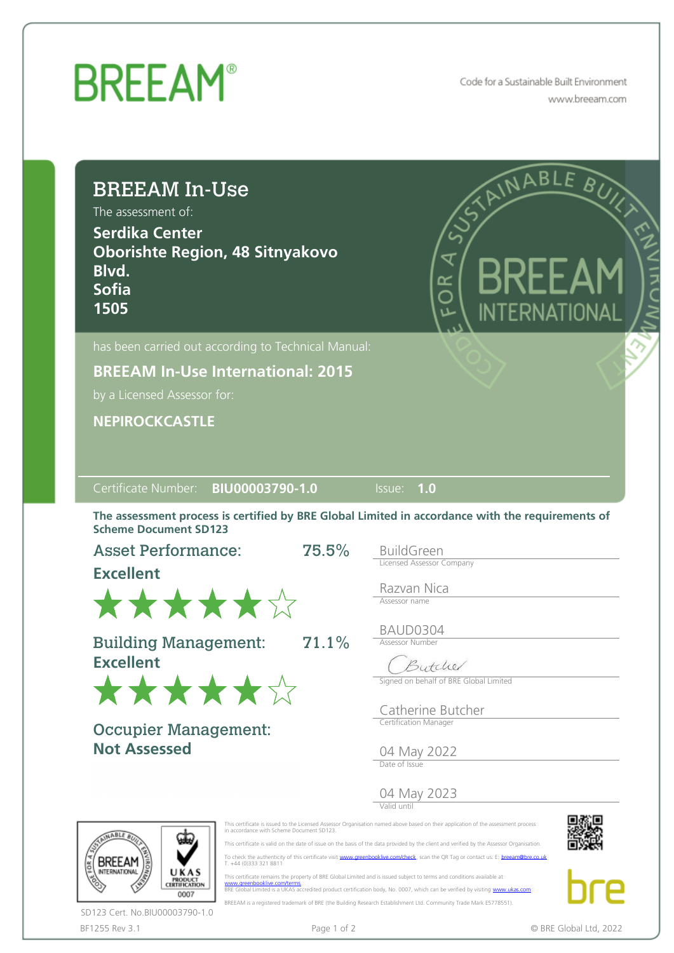## **BREEAM®**

Code for a Sustainable Built Environment www.breeam.com

| <b>BREEAM In-Use</b><br>The assessment of:<br><b>Serdika Center</b><br><b>Oborishte Region, 48 Sitnyakovo</b><br>Blvd.<br><b>Sofia</b><br>1505         |       | INABLE<br>BUI<br>EXA<br>₹<br>ă<br>INTERNATIONAL                                                                                                                                                                                                                                                                                                                                                                                                                                                                                                  |  |  |  |  |
|--------------------------------------------------------------------------------------------------------------------------------------------------------|-------|--------------------------------------------------------------------------------------------------------------------------------------------------------------------------------------------------------------------------------------------------------------------------------------------------------------------------------------------------------------------------------------------------------------------------------------------------------------------------------------------------------------------------------------------------|--|--|--|--|
| has been carried out according to Technical Manual:                                                                                                    |       |                                                                                                                                                                                                                                                                                                                                                                                                                                                                                                                                                  |  |  |  |  |
| <b>BREEAM In-Use International: 2015</b><br>by a Licensed Assessor for:                                                                                |       |                                                                                                                                                                                                                                                                                                                                                                                                                                                                                                                                                  |  |  |  |  |
| <b>NEPIROCKCASTLE</b>                                                                                                                                  |       |                                                                                                                                                                                                                                                                                                                                                                                                                                                                                                                                                  |  |  |  |  |
| Certificate Number: BIU00003790-1.0<br><b>Scheme Document SD123</b><br><b>Asset Performance:</b>                                                       | 75.5% | 1.0<br>Issue:<br>The assessment process is certified by BRE Global Limited in accordance with the requirements of<br><b>BuildGreen</b>                                                                                                                                                                                                                                                                                                                                                                                                           |  |  |  |  |
| <b>Excellent</b>                                                                                                                                       |       | <b>Licensed Assessor Company</b><br>Razvan Nica                                                                                                                                                                                                                                                                                                                                                                                                                                                                                                  |  |  |  |  |
| ******<br><b>Building Management:</b><br><b>Excellent</b><br>******                                                                                    | 71.1% | Assessor name<br>BAUD0304<br><b>Assessor Number</b><br>Butchel<br>Signed on behalf of BRE Global Limited                                                                                                                                                                                                                                                                                                                                                                                                                                         |  |  |  |  |
| <b>Occupier Management:</b><br><b>Not Assessed</b>                                                                                                     |       | Catherine Butcher<br>Certification Manager<br>04 May 2022<br>Date of Issue                                                                                                                                                                                                                                                                                                                                                                                                                                                                       |  |  |  |  |
|                                                                                                                                                        |       | 04 May 2023                                                                                                                                                                                                                                                                                                                                                                                                                                                                                                                                      |  |  |  |  |
| in accordance with Scheme Document SD123.<br>GABLE<br>T. +44 (0)333 321 8811<br>UKAS<br><b>PRODUCT</b><br>CERTIFICATION<br>www.greenbooklive.com/terms |       | This certificate is issued to the Licensed Assessor Organisation named above based on their application of the assessment process<br>This certificate is valid on the date of issue on the basis of the data provided by the client and verified by the Assessor Organisation.<br>To check the authenticity of this certificate visit: www.greenbooklive.com/check, scan the QR Tag or contact us: Expreeam@bre.co.uk<br>This certificate remains the property of BRE Global Limited and is issued subject to terms and conditions available at: |  |  |  |  |

BF1255 Rev 3.1 **Page 1 of 2** Page 1 of 2 **CONF CONF CONF CONF CONF CONF CONF CONF CONF CONF CONF CONF CONF CONF CONF CONF CONF CONF CONF CONF CONF CONF CONF CONF CONF CONF** SD123 Cert. No.BIU00003790-1.0

BREEAM is a registered trademark of BRE (the Building Research Establishment Ltd. Community Trade Mark E5778551).